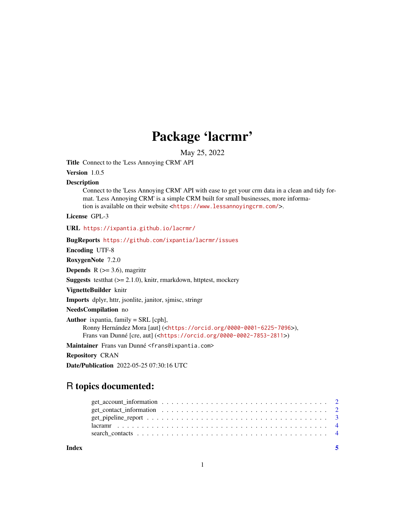## Package 'lacrmr'

May 25, 2022

Title Connect to the 'Less Annoying CRM' API

Version 1.0.5

#### **Description**

Connect to the 'Less Annoying CRM' API with ease to get your crm data in a clean and tidy format. 'Less Annoying CRM' is a simple CRM built for small businesses, more information is available on their website <<https://www.lessannoyingcrm.com/>>.

License GPL-3

URL <https://ixpantia.github.io/lacrmr/>

#### BugReports <https://github.com/ixpantia/lacrmr/issues>

Encoding UTF-8

RoxygenNote 7.2.0

**Depends** R  $(>= 3.6)$ , magrittr

**Suggests** testthat  $(>= 2.1.0)$ , knitr, rmarkdown, httptest, mockery

VignetteBuilder knitr

Imports dplyr, httr, jsonlite, janitor, sjmisc, stringr

NeedsCompilation no

Author ixpantia, family = SRL [cph], Ronny Hernández Mora [aut] (<<https://orcid.org/0000-0001-6225-7096>>), Frans van Dunné [cre, aut] (<<https://orcid.org/0000-0002-7853-2811>>)

Maintainer Frans van Dunné <frans@ixpantia.com>

Repository CRAN

Date/Publication 2022-05-25 07:30:16 UTC

### R topics documented:

**Index** [5](#page-4-0). The second state of the second state of the second state of the second state of the second state of the second state of the second state of the second state of the second state of the second state of the second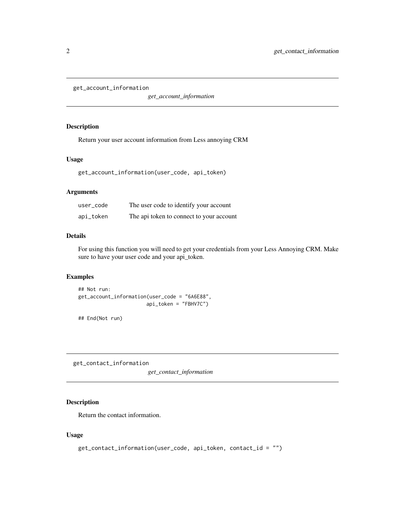```
get_account_information
```
*get\_account\_information*

#### Description

Return your user account information from Less annoying CRM

#### Usage

get\_account\_information(user\_code, api\_token)

#### Arguments

| user_code | The user code to identify your account   |
|-----------|------------------------------------------|
| api_token | The api token to connect to your account |

#### Details

For using this function you will need to get your credentials from your Less Annoying CRM. Make sure to have your user code and your api\_token.

#### Examples

```
## Not run:
get_account_information(user_code = "6A6E88",
                       api_token = "FBHV7C")
```
## End(Not run)

get\_contact\_information

*get\_contact\_information*

#### Description

Return the contact information.

#### Usage

```
get_contact_information(user_code, api_token, contact_id = "")
```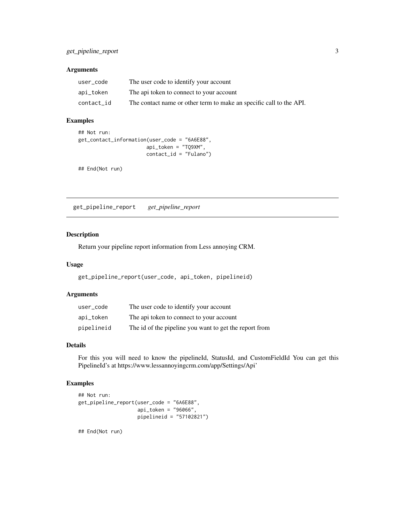#### <span id="page-2-0"></span>Arguments

| user code  | The user code to identify your account                              |
|------------|---------------------------------------------------------------------|
| api_token  | The api token to connect to your account                            |
| contact id | The contact name or other term to make an specific call to the API. |

#### Examples

```
## Not run:
get_contact_information(user_code = "6A6E88",
                       api_token = "TQ9XM",
                       contact_id = "Fulano")
```

```
## End(Not run)
```
get\_pipeline\_report *get\_pipeline\_report*

#### Description

Return your pipeline report information from Less annoying CRM.

#### Usage

```
get_pipeline_report(user_code, api_token, pipelineid)
```
#### Arguments

| user code  | The user code to identify your account                 |
|------------|--------------------------------------------------------|
| api_token  | The api token to connect to your account               |
| pipelineid | The id of the pipeline you want to get the report from |

#### Details

For this you will need to know the pipelineId, StatusId, and CustomFieldId You can get this PipelineId's at https://www.lessannoyingcrm.com/app/Settings/Api'

#### Examples

```
## Not run:
get_pipeline_report(user_code = "6A6E88",
                    api_token = "96066",
                    pipelineid = "57102821")
```
## End(Not run)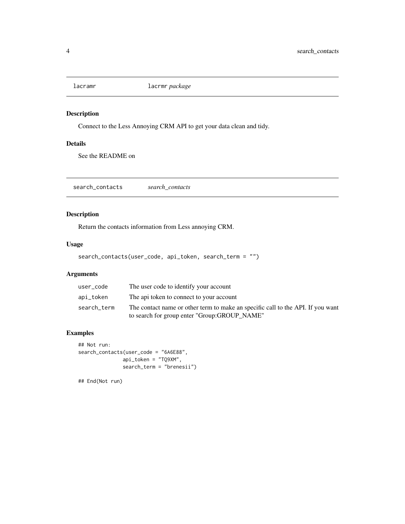<span id="page-3-0"></span>

#### Description

Connect to the Less Annoying CRM API to get your data clean and tidy.

#### Details

See the README on

search\_contacts *search\_contacts*

#### Description

Return the contacts information from Less annoying CRM.

#### Usage

```
search_contacts(user_code, api_token, search_term = "")
```
#### Arguments

| user_code   | The user code to identify your account                                                                                          |
|-------------|---------------------------------------------------------------------------------------------------------------------------------|
| api_token   | The api token to connect to your account                                                                                        |
| search term | The contact name or other term to make an specific call to the API. If you want<br>to search for group enter "Group:GROUP_NAME" |
|             |                                                                                                                                 |

#### Examples

## Not run: search\_contacts(user\_code = "6A6E88", api\_token = "TQ9XM", search\_term = "brenesii")

## End(Not run)